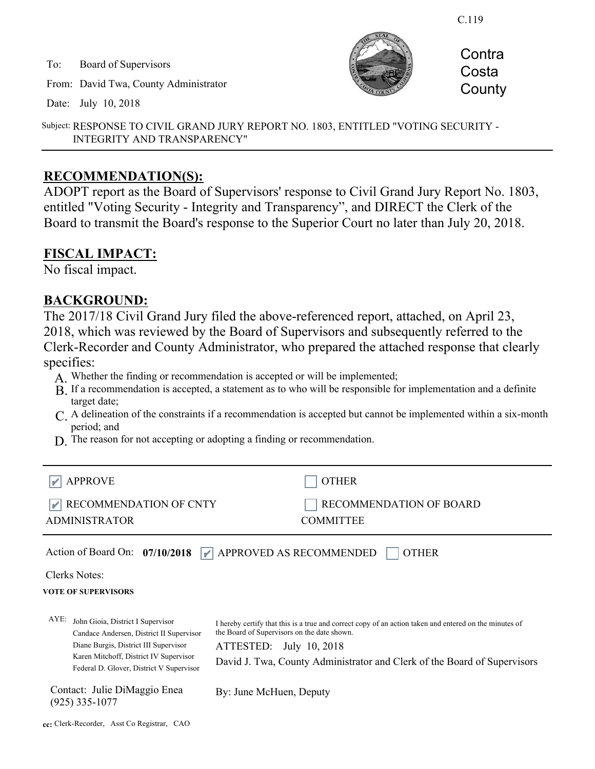C.119

To: Board of Supervisors

From: David Twa, County Administrator

Date: July 10, 2018



**Contra** Costa **County** 

Subject: RESPONSE TO CIVIL GRAND JURY REPORT NO. 1803, ENTITLED "VOTING SECURITY - INTEGRITY AND TRANSPARENCY"

#### **RECOMMENDATION(S):**

ADOPT report as the Board of Supervisors' response to Civil Grand Jury Report No. 1803, entitled "Voting Security - Integrity and Transparency", and DIRECT the Clerk of the Board to transmit the Board's response to the Superior Court no later than July 20, 2018.

#### **FISCAL IMPACT:**

No fiscal impact.

### **BACKGROUND:**

The 2017/18 Civil Grand Jury filed the above-referenced report, attached, on April 23, 2018, which was reviewed by the Board of Supervisors and subsequently referred to the Clerk-Recorder and County Administrator, who prepared the attached response that clearly specifies:

- A. Whether the finding or recommendation is accepted or will be implemented;
- B. If a recommendation is accepted, a statement as to who will be responsible for implementation and a definite target date;
- A delineation of the constraints if a recommendation is accepted but cannot be implemented within a six-month C. period; and
- D. The reason for not accepting or adopting a finding or recommendation.

| $ \mathbf{r} $ APPROVE              | OTHER                          |
|-------------------------------------|--------------------------------|
| $\mathbb{R}$ RECOMMENDATION OF CNTY | <b>RECOMMENDATION OF BOARD</b> |
| <b>ADMINISTRATOR</b>                | <b>COMMITTEE</b>               |

I hereby certify that this is a true and correct copy of an action taken and entered on the minutes of

David J. Twa, County Administrator and Clerk of the Board of Supervisors

Action of Board On: **07/10/2018 APPROVED AS RECOMMENDED** OTHER

Clerks Notes:

#### **VOTE OF SUPERVISORS**

AYE: John Gioia, District I Supervisor Candace Andersen, District II Supervisor Diane Burgis, District III Supervisor Karen Mitchoff, District IV Supervisor Federal D. Glover, District V Supervisor

Contact: Julie DiMaggio Enea (925) 335-1077

By: June McHuen, Deputy

the Board of Supervisors on the date shown. ATTESTED: July 10, 2018

**cc:** Clerk-Recorder, Asst Co Registrar, CAO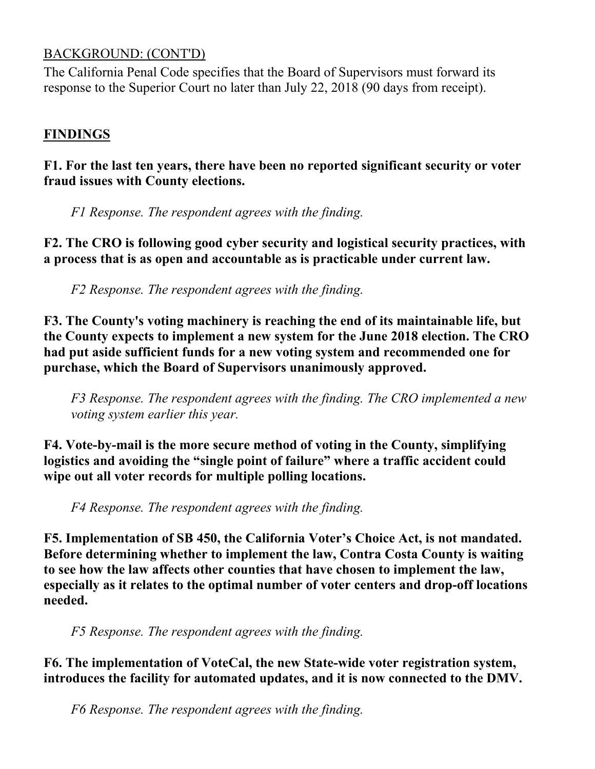## BACKGROUND: (CONT'D)

The California Penal Code specifies that the Board of Supervisors must forward its response to the Superior Court no later than July 22, 2018 (90 days from receipt).

## **FINDINGS**

## **F1. For the last ten years, there have been no reported significant security or voter fraud issues with County elections.**

*F1 Response. The respondent agrees with the finding.*

**F2. The CRO is following good cyber security and logistical security practices, with a process that is as open and accountable as is practicable under current law.** 

*F2 Response. The respondent agrees with the finding.*

**F3. The County's voting machinery is reaching the end of its maintainable life, but the County expects to implement a new system for the June 2018 election. The CRO had put aside sufficient funds for a new voting system and recommended one for purchase, which the Board of Supervisors unanimously approved.** 

*F3 Response. The respondent agrees with the finding. The CRO implemented a new voting system earlier this year.*

**F4. Vote-by-mail is the more secure method of voting in the County, simplifying logistics and avoiding the "single point of failure" where a traffic accident could wipe out all voter records for multiple polling locations.** 

*F4 Response. The respondent agrees with the finding.*

**F5. Implementation of SB 450, the California Voter's Choice Act, is not mandated. Before determining whether to implement the law, Contra Costa County is waiting to see how the law affects other counties that have chosen to implement the law, especially as it relates to the optimal number of voter centers and drop-off locations needed.** 

*F5 Response. The respondent agrees with the finding.*

**F6. The implementation of VoteCal, the new State-wide voter registration system, introduces the facility for automated updates, and it is now connected to the DMV.** 

*F6 Response. The respondent agrees with the finding.*